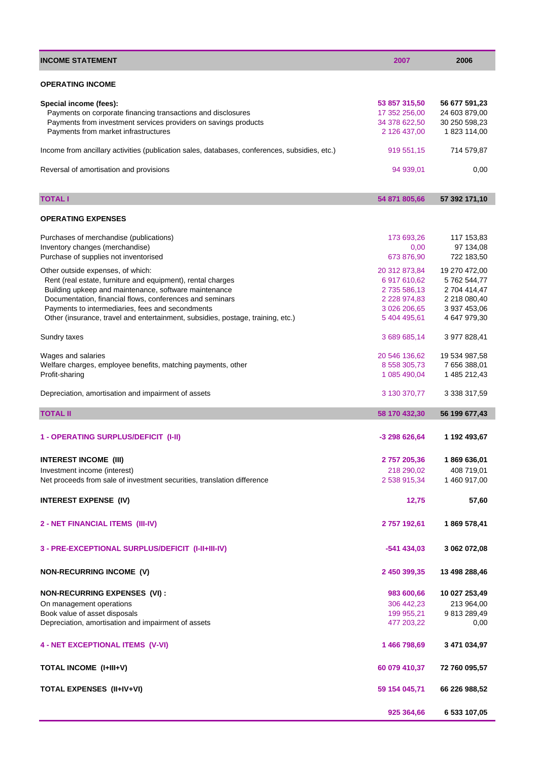| <b>INCOME STATEMENT</b>                                                                       | 2007                | 2006          |
|-----------------------------------------------------------------------------------------------|---------------------|---------------|
| <b>OPERATING INCOME</b>                                                                       |                     |               |
|                                                                                               |                     |               |
| Special income (fees):                                                                        | 53 857 315,50       | 56 677 591,23 |
| Payments on corporate financing transactions and disclosures                                  | 17 352 256.00       | 24 603 879,00 |
| Payments from investment services providers on savings products                               | 34 378 622,50       | 30 250 598,23 |
| Payments from market infrastructures                                                          | 2 126 437,00        | 1 823 114,00  |
| Income from ancillary activities (publication sales, databases, conferences, subsidies, etc.) | 919 551,15          | 714 579,87    |
| Reversal of amortisation and provisions                                                       | 94 939,01           | 0,00          |
|                                                                                               |                     |               |
| <b>TOTAL I</b>                                                                                | 54 871 805,66       | 57 392 171,10 |
|                                                                                               |                     |               |
| <b>OPERATING EXPENSES</b>                                                                     |                     |               |
| Purchases of merchandise (publications)                                                       | 173 693,26          | 117 153,83    |
| Inventory changes (merchandise)                                                               | 0,00                | 97 134,08     |
| Purchase of supplies not inventorised                                                         | 673 876,90          | 722 183,50    |
|                                                                                               | 20 312 873,84       |               |
| Other outside expenses, of which:                                                             |                     | 19 270 472,00 |
| Rent (real estate, furniture and equipment), rental charges                                   | 6 917 610,62        | 5762 544,77   |
| Building upkeep and maintenance, software maintenance                                         | 2735 586,13         | 2 704 414,47  |
| Documentation, financial flows, conferences and seminars                                      | 2 2 2 8 9 7 4 , 8 3 | 2 218 080,40  |
| Payments to intermediaries, fees and secondments                                              | 3 026 206,65        | 3 937 453,06  |
| Other (insurance, travel and entertainment, subsidies, postage, training, etc.)               | 5 404 495,61        | 4 647 979,30  |
| Sundry taxes                                                                                  | 3 689 685,14        | 3 977 828,41  |
| Wages and salaries                                                                            | 20 546 136,62       | 19 534 987,58 |
| Welfare charges, employee benefits, matching payments, other                                  | 8 558 305,73        | 7 656 388,01  |
| Profit-sharing                                                                                | 1 085 490,04        | 1 485 212,43  |
|                                                                                               |                     |               |
| Depreciation, amortisation and impairment of assets                                           | 3 130 370,77        | 3 338 317,59  |
| <b>TOTAL II</b>                                                                               | 58 170 432,30       | 56 199 677,43 |
|                                                                                               |                     |               |
| 1 - OPERATING SURPLUS/DEFICIT (I-II)                                                          | -3 298 626,64       | 1 192 493,67  |
| <b>INTEREST INCOME (III)</b>                                                                  | 2757205,36          | 1869 636,01   |
|                                                                                               |                     |               |
| Investment income (interest)                                                                  | 218 290,02          | 408 719,01    |
| Net proceeds from sale of investment securities, translation difference                       | 2 538 915,34        | 1 460 917,00  |
| <b>INTEREST EXPENSE (IV)</b>                                                                  | 12,75               | 57,60         |
|                                                                                               |                     |               |
| 2 - NET FINANCIAL ITEMS (III-IV)                                                              | 2757192,61          | 1869 578,41   |
| 3 - PRE-EXCEPTIONAL SURPLUS/DEFICIT (I-II+III-IV)                                             | $-541434,03$        | 3 062 072,08  |
|                                                                                               |                     |               |
| <b>NON-RECURRING INCOME (V)</b>                                                               | 2 450 399,35        | 13 498 288,46 |
| <b>NON-RECURRING EXPENSES (VI):</b>                                                           | 983 600,66          | 10 027 253,49 |
| On management operations                                                                      | 306 442,23          | 213 964,00    |
|                                                                                               |                     |               |
| Book value of asset disposals                                                                 | 199 955,21          | 9813289,49    |
| Depreciation, amortisation and impairment of assets                                           | 477 203,22          | 0,00          |
| <b>4 - NET EXCEPTIONAL ITEMS (V-VI)</b>                                                       | 1466798,69          | 3 471 034,97  |
|                                                                                               |                     |               |
| <b>TOTAL INCOME (I+III+V)</b>                                                                 | 60 079 410,37       | 72 760 095,57 |
| TOTAL EXPENSES (II+IV+VI)                                                                     | 59 154 045,71       | 66 226 988,52 |
|                                                                                               | 925 364,66          | 6 533 107,05  |